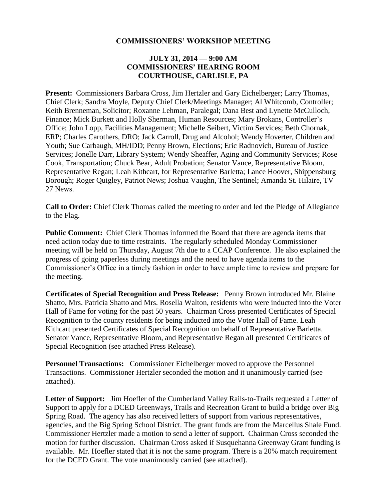#### **COMMISSIONERS' WORKSHOP MEETING**

#### **JULY 31, 2014 — 9:00 AM COMMISSIONERS' HEARING ROOM COURTHOUSE, CARLISLE, PA**

**Present:** Commissioners Barbara Cross, Jim Hertzler and Gary Eichelberger; Larry Thomas, Chief Clerk; Sandra Moyle, Deputy Chief Clerk/Meetings Manager; Al Whitcomb, Controller; Keith Brenneman, Solicitor; Roxanne Lehman, Paralegal; Dana Best and Lynette McCulloch, Finance; Mick Burkett and Holly Sherman, Human Resources; Mary Brokans, Controller's Office; John Lopp, Facilities Management; Michelle Seibert, Victim Services; Beth Chornak, ERP; Charles Carothers, DRO; Jack Carroll, Drug and Alcohol; Wendy Hoverter, Children and Youth; Sue Carbaugh, MH/IDD; Penny Brown, Elections; Eric Radnovich, Bureau of Justice Services; Jonelle Darr, Library System; Wendy Sheaffer, Aging and Community Services; Rose Cook, Transportation; Chuck Bear, Adult Probation; Senator Vance, Representative Bloom, Representative Regan; Leah Kithcart, for Representative Barletta; Lance Hoover, Shippensburg Borough; Roger Quigley, Patriot News; Joshua Vaughn, The Sentinel; Amanda St. Hilaire, TV 27 News.

**Call to Order:** Chief Clerk Thomas called the meeting to order and led the Pledge of Allegiance to the Flag.

**Public Comment:** Chief Clerk Thomas informed the Board that there are agenda items that need action today due to time restraints. The regularly scheduled Monday Commissioner meeting will be held on Thursday, August 7th due to a CCAP Conference. He also explained the progress of going paperless during meetings and the need to have agenda items to the Commissioner's Office in a timely fashion in order to have ample time to review and prepare for the meeting.

**Certificates of Special Recognition and Press Release:** Penny Brown introduced Mr. Blaine Shatto, Mrs. Patricia Shatto and Mrs. Rosella Walton, residents who were inducted into the Voter Hall of Fame for voting for the past 50 years. Chairman Cross presented Certificates of Special Recognition to the county residents for being inducted into the Voter Hall of Fame. Leah Kithcart presented Certificates of Special Recognition on behalf of Representative Barletta. Senator Vance, Representative Bloom, and Representative Regan all presented Certificates of Special Recognition (see attached Press Release).

**Personnel Transactions:** Commissioner Eichelberger moved to approve the Personnel Transactions. Commissioner Hertzler seconded the motion and it unanimously carried (see attached).

**Letter of Support:** Jim Hoefler of the Cumberland Valley Rails-to-Trails requested a Letter of Support to apply for a DCED Greenways, Trails and Recreation Grant to build a bridge over Big Spring Road. The agency has also received letters of support from various representatives, agencies, and the Big Spring School District. The grant funds are from the Marcellus Shale Fund. Commissioner Hertzler made a motion to send a letter of support. Chairman Cross seconded the motion for further discussion. Chairman Cross asked if Susquehanna Greenway Grant funding is available. Mr. Hoefler stated that it is not the same program. There is a 20% match requirement for the DCED Grant. The vote unanimously carried (see attached).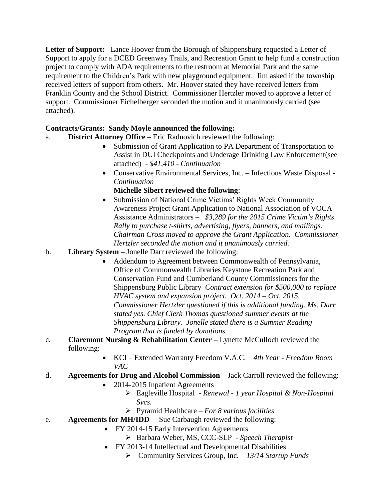**Letter of Support:** Lance Hoover from the Borough of Shippensburg requested a Letter of Support to apply for a DCED Greenway Trails, and Recreation Grant to help fund a construction project to comply with ADA requirements to the restroom at Memorial Park and the same requirement to the Children's Park with new playground equipment. Jim asked if the township received letters of support from others. Mr. Hoover stated they have received letters from Franklin County and the School District. Commissioner Hertzler moved to approve a letter of support. Commissioner Eichelberger seconded the motion and it unanimously carried (see attached).

# **Contracts/Grants: Sandy Moyle announced the following:**

- a. **District Attorney Office**  Eric Radnovich reviewed the following:
	- Submission of Grant Application to PA Department of Transportation to Assist in DUI Checkpoints and Underage Drinking Law Enforcement(see attached) *- \$41,410 - Continuation*
	- Conservative Environmental Services, Inc. Infectious Waste Disposal *- Continuation*

**Michelle Sibert reviewed the following**:

- Submission of National Crime Victims' Rights Week Community Awareness Project Grant Application to National Association of VOCA Assistance Administrators – *\$3,289 for the 2015 Crime Victim's Rights Rally to purchase t-shirts, advertising, flyers, banners, and mailings. Chairman Cross moved to approve the Grant Application. Commissioner Hertzler seconded the motion and it unanimously carried.*
- b. **Library System –** Jonelle Darr reviewed the following:
	- Addendum to Agreement between Commonwealth of Pennsylvania, Office of Commonwealth Libraries Keystone Recreation Park and Conservation Fund and Cumberland County Commissioners for the Shippensburg Public Library *Contract extension for \$500,000 to replace HVAC system and expansion project. Oct. 2014 – Oct. 2015. Commissioner Hertzler questioned if this is additional funding. Ms. Darr stated yes. Chief Clerk Thomas questioned summer events at the Shippensburg Library. Jonelle stated there is a Summer Reading Program that is funded by donations.*
- c. **Claremont Nursing & Rehabilitation Center –** Lynette McCulloch reviewed the following:
	- KCI Extended Warranty Freedom V.A.C. *4th Year - Freedom Room VAC*
- d. **Agreements for Drug and Alcohol Commission** Jack Carroll reviewed the following:
	- 2014-2015 Inpatient Agreements
		- Eagleville Hospital *- Renewal - 1 year Hospital & Non-Hospital Svcs.*
		- Pyramid Healthcare *– For 8 various facilities*
- e. **Agreements for MH/IDD**  Sue Carbaugh reviewed the following:
	- FY 2014-15 Early Intervention Agreements
		- Barbara Weber, MS, CCC-SLP *- Speech Therapist*
	- FY 2013-14 Intellectual and Developmental Disabilities
		- Community Services Group, Inc. *– 13/14 Startup Funds*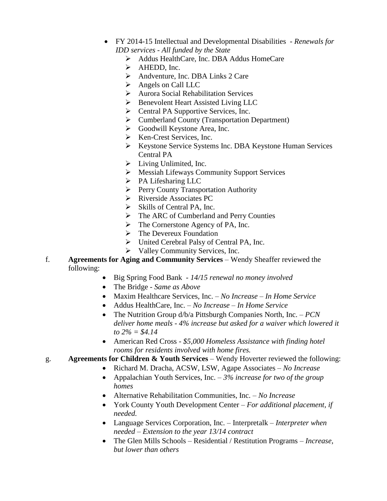- FY 2014-15 Intellectual and Developmental Disabilities *- Renewals for IDD services - All funded by the State*
	- Addus HealthCare, Inc. DBA Addus HomeCare
	- $\triangleright$  AHEDD, Inc.
	- $\triangleright$  Andventure, Inc. DBA Links 2 Care
	- Angels on Call LLC
	- Aurora Social Rehabilitation Services
	- $\triangleright$  Benevolent Heart Assisted Living LLC
	- $\triangleright$  Central PA Supportive Services, Inc.
	- $\triangleright$  Cumberland County (Transportation Department)
	- $\triangleright$  Goodwill Keystone Area, Inc.
	- $\triangleright$  Ken-Crest Services, Inc.
	- ▶ Keystone Service Systems Inc. DBA Keystone Human Services Central PA
	- $\blacktriangleright$  Living Unlimited, Inc.
	- Messiah Lifeways Community Support Services
	- $\triangleright$  PA Lifesharing LLC
	- $\triangleright$  Perry County Transportation Authority
	- Riverside Associates PC
	- $\triangleright$  Skills of Central PA, Inc.
	- $\triangleright$  The ARC of Cumberland and Perry Counties
	- $\triangleright$  The Cornerstone Agency of PA, Inc.
	- $\triangleright$  The Devereux Foundation
	- United Cerebral Palsy of Central PA, Inc.
	- $\triangleright$  Valley Community Services, Inc.
- f. **Agreements for Aging and Community Services** Wendy Sheaffer reviewed the following:
	- Big Spring Food Bank *- 14/15 renewal no money involved*
	- The Bridge *- Same as Above*
	- Maxim Healthcare Services, Inc. *– No Increase – In Home Service*
	- Addus HealthCare, Inc. *– No Increase – In Home Service*
	- The Nutrition Group d/b/a Pittsburgh Companies North, Inc. *– PCN deliver home meals - 4% increase but asked for a waiver which lowered it to 2% = \$4.14*
	- American Red Cross *- \$5,000 Homeless Assistance with finding hotel rooms for residents involved with home fires.*

# g. **Agreements for Children & Youth Services** – Wendy Hoverter reviewed the following:

- Richard M. Dracha, ACSW, LSW, Agape Associates *– No Increase*
	- Appalachian Youth Services, Inc. *– 3% increase for two of the group homes*
	- Alternative Rehabilitation Communities, Inc. *– No Increase*
	- York County Youth Development Center *– For additional placement, if needed.*
	- Language Services Corporation, Inc. Interpretalk *– Interpreter when needed – Extension to the year 13/14 contract*
	- The Glen Mills Schools Residential / Restitution Programs *– Increase, but lower than others*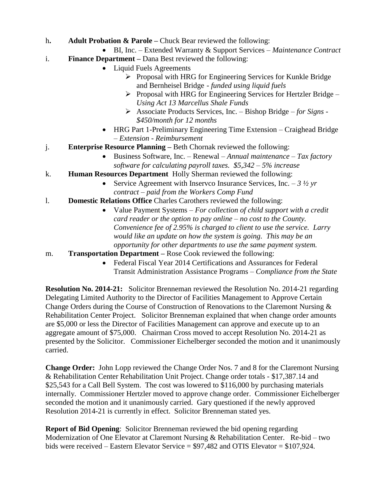- h**. Adult Probation & Parole –** Chuck Bear reviewed the following:
- BI, Inc. Extended Warranty & Support Services *– Maintenance Contract*
- i. **Finance Department –** Dana Best reviewed the following:
	- Liquid Fuels Agreements
		- $\triangleright$  Proposal with HRG for Engineering Services for Kunkle Bridge and Bernheisel Bridge *- funded using liquid fuels*
		- Proposal with HRG for Engineering Services for Hertzler Bridge *– Using Act 13 Marcellus Shale Funds*
		- Associate Products Services, Inc. Bishop Bridge *– for Signs - \$450/month for 12 months*
	- HRG Part 1-Preliminary Engineering Time Extension Craighead Bridge *– Extension - Reimbursement*
- j. **Enterprise Resource Planning –** Beth Chornak reviewed the following:
	- Business Software, Inc. Renewal *– Annual maintenance – Tax factory software for calculating payroll taxes. \$5,342 – 5% increase*
- k. **Human Resources Department** Holly Sherman reviewed the following:
	- Service Agreement with Inservco Insurance Services, Inc.  $-3\frac{1}{2}$  yr *contract – paid from the Workers Comp Fund*
- l. **Domestic Relations Office** Charles Carothers reviewed the following:
	- Value Payment Systems *– For collection of child support with a credit card reader or the option to pay online – no cost to the County. Convenience fee of 2.95% is charged to client to use the service. Larry would like an update on how the system is going. This may be an opportunity for other departments to use the same payment system.*
- m. **Transportation Department –** Rose Cook reviewed the following:
	- Federal Fiscal Year 2014 Certifications and Assurances for Federal Transit Administration Assistance Programs *– Compliance from the State*

**Resolution No. 2014-21:** Solicitor Brenneman reviewed the Resolution No. 2014-21 regarding Delegating Limited Authority to the Director of Facilities Management to Approve Certain Change Orders during the Course of Construction of Renovations to the Claremont Nursing & Rehabilitation Center Project. Solicitor Brenneman explained that when change order amounts are \$5,000 or less the Director of Facilities Management can approve and execute up to an aggregate amount of \$75,000. Chairman Cross moved to accept Resolution No. 2014-21 as presented by the Solicitor. Commissioner Eichelberger seconded the motion and it unanimously carried.

**Change Order:** John Lopp reviewed the Change Order Nos. 7 and 8 for the Claremont Nursing & Rehabilitation Center Rehabilitation Unit Project. Change order totals - \$17,387.14 and \$25,543 for a Call Bell System. The cost was lowered to \$116,000 by purchasing materials internally. Commissioner Hertzler moved to approve change order. Commissioner Eichelberger seconded the motion and it unanimously carried. Gary questioned if the newly approved Resolution 2014-21 is currently in effect. Solicitor Brenneman stated yes.

**Report of Bid Opening**: Solicitor Brenneman reviewed the bid opening regarding Modernization of One Elevator at Claremont Nursing & Rehabilitation Center. Re-bid – two bids were received – Eastern Elevator Service = \$97,482 and OTIS Elevator = \$107,924.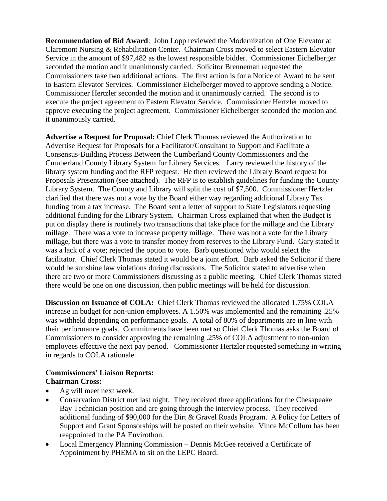**Recommendation of Bid Award**: John Lopp reviewed the Modernization of One Elevator at Claremont Nursing & Rehabilitation Center. Chairman Cross moved to select Eastern Elevator Service in the amount of \$97,482 as the lowest responsible bidder. Commissioner Eichelberger seconded the motion and it unanimously carried. Solicitor Brenneman requested the Commissioners take two additional actions. The first action is for a Notice of Award to be sent to Eastern Elevator Services. Commissioner Eichelberger moved to approve sending a Notice. Commissioner Hertzler seconded the motion and it unanimously carried. The second is to execute the project agreement to Eastern Elevator Service. Commissioner Hertzler moved to approve executing the project agreement. Commissioner Eichelberger seconded the motion and it unanimously carried.

**Advertise a Request for Proposal:** Chief Clerk Thomas reviewed the Authorization to Advertise Request for Proposals for a Facilitator/Consultant to Support and Facilitate a Consensus-Building Process Between the Cumberland County Commissioners and the Cumberland County Library System for Library Services. Larry reviewed the history of the library system funding and the RFP request. He then reviewed the Library Board request for Proposals Presentation (see attached). The RFP is to establish guidelines for funding the County Library System. The County and Library will split the cost of \$7,500. Commissioner Hertzler clarified that there was not a vote by the Board either way regarding additional Library Tax funding from a tax increase. The Board sent a letter of support to State Legislators requesting additional funding for the Library System. Chairman Cross explained that when the Budget is put on display there is routinely two transactions that take place for the millage and the Library millage. There was a vote to increase property millage. There was not a vote for the Library millage, but there was a vote to transfer money from reserves to the Library Fund. Gary stated it was a lack of a vote; rejected the option to vote. Barb questioned who would select the facilitator. Chief Clerk Thomas stated it would be a joint effort. Barb asked the Solicitor if there would be sunshine law violations during discussions. The Solicitor stated to advertise when there are two or more Commissioners discussing as a public meeting. Chief Clerk Thomas stated there would be one on one discussion, then public meetings will be held for discussion.

**Discussion on Issuance of COLA:** Chief Clerk Thomas reviewed the allocated 1.75% COLA increase in budget for non-union employees. A 1.50% was implemented and the remaining .25% was withheld depending on performance goals. A total of 80% of departments are in line with their performance goals. Commitments have been met so Chief Clerk Thomas asks the Board of Commissioners to consider approving the remaining .25% of COLA adjustment to non-union employees effective the next pay period. Commissioner Hertzler requested something in writing in regards to COLA rationale

### **Commissioners' Liaison Reports: Chairman Cross:**

- Ag will meet next week.
- Conservation District met last night. They received three applications for the Chesapeake Bay Technician position and are going through the interview process. They received additional funding of \$90,000 for the Dirt & Gravel Roads Program. A Policy for Letters of Support and Grant Sponsorships will be posted on their website. Vince McCollum has been reappointed to the PA Envirothon.
- Local Emergency Planning Commission Dennis McGee received a Certificate of Appointment by PHEMA to sit on the LEPC Board.